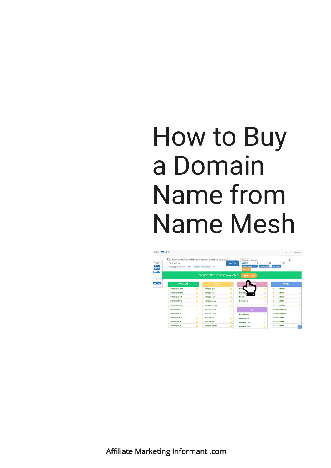

Affiliate Marketing Informant .com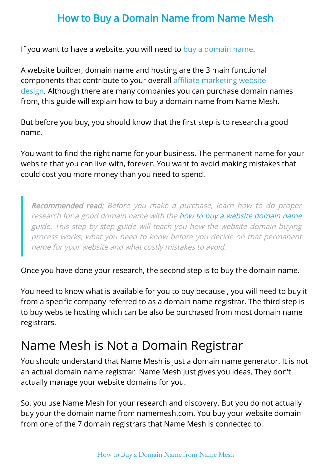If you want to have a website, you will need to [buy a domain name.](http://www.affiliatemarketinginformant.com/how-to-buy-a-website-domain-name/)

A website builder, domain name and hosting are the 3 main functional components that contribute to your overall affiliate marketing website design. Although there are many companies you can purchase domain names from, this guide will explain how to buy a domain name from Name Mesh.

But before you buy, you should know that the first step is to research a good name.

You want to find the right name for your business. The permanent name for your website that you can live with, forever. You want to avoid making mistakes that could cost you more money than you need to spend.

Recommended read: Before you make a purchase, learn how to do proper research for a good domain name with the [how to buy a website domain name](http://www.affiliatemarketinginformant.com/how-to-buy-a-website-domain-name/) guide. This step by step guide will teach you how the website domain buying process works, what you need to know before you decide on that permanent name for your website and what costly mistakes to avoid.

Once you have done your research, the second step is to buy the domain name.

You need to know what is available for you to buy because , you will need to buy it from a specific company referred to as a domain name registrar. The third step is to buy website hosting which can be also be purchased from most domain name registrars.

## Name Mesh is Not a Domain Registrar

You should understand that Name Mesh is just a domain name generator. It is not an actual domain name registrar. Name Mesh just gives you ideas. They don't actually manage your website domains for you.

So, you use Name Mesh for your research and discovery. But you do not actually buy your the domain name from namemesh.com. You buy your website domain from one of the 7 domain registrars that Name Mesh is connected to.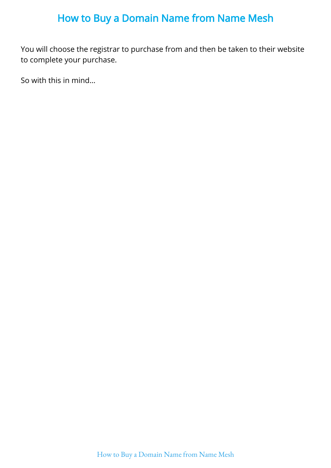You will choose the registrar to purchase from and then be taken to their website to complete your purchase.

So with this in mind…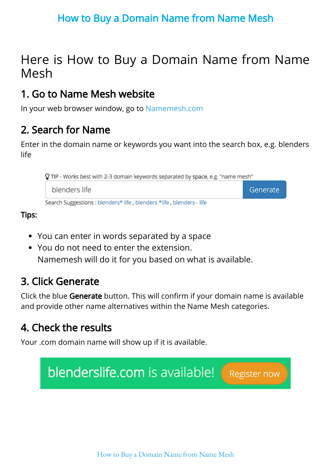## Here is How to Buy a Domain Name from Name Mesh

## 1. Go to Name Mesh website

In your web browser window, go to [Namemesh.com](https://www.namemesh.com/)

## 2. Search for Name

Enter in the domain name or keywords you want into the search box, e.g. blenders life



Tips:

- You can enter in words separated by a space
- You do not need to enter the extension. Namemesh will do it for you based on what is available.

## 3. Click Generate

Click the blue Generate button. This will confirm if your domain name is available and provide other name alternatives within the Name Mesh categories.

## 4. Check the results

Your .com domain name will show up if it is available.

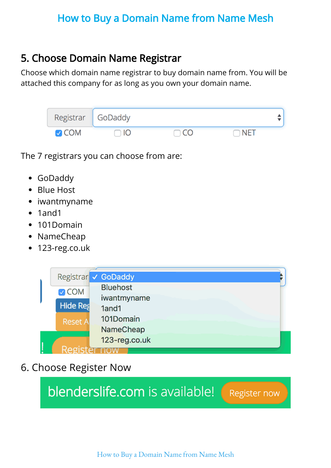## 5. Choose Domain Name Registrar

Choose which domain name registrar to buy domain name from. You will be attached this company for as long as you own your domain name.

| Registrar GoDaddy   |      |              |            |  |
|---------------------|------|--------------|------------|--|
| $\triangledown$ COM | ור - | $\bigcap$ CO | $\neg$ Net |  |

The 7 registrars you can choose from are:

- GoDaddy
- Blue Host
- iwantmyname  $\bullet$
- 1and1  $\bullet$
- 101Domain  $\bullet$
- NameCheap  $\bullet$
- 123-reg.co.uk  $\bullet$



6. Choose Register Now

blenderslife.com is available!

Register now

How to Buy a [Domain](https://www.affiliatemarketinginformant.com/how-to-buy-a-domain-name-from-name-mesh/) Name from Name Mesh